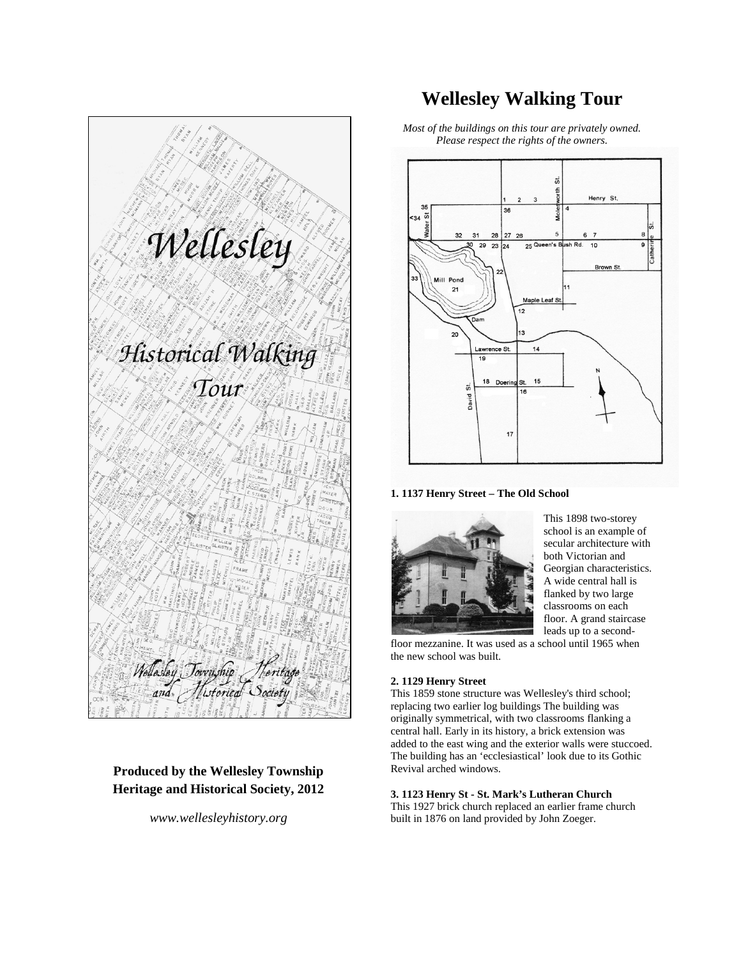Wellesley Historical Walking Tour Wellasley Township Heritag<br>and Nistorical Society

**Produced by the Wellesley Township Heritage and Historical Society, 2012**

*www.wellesleyhistory.org*

# **Wellesley Walking Tour**

*Most of the buildings on this tour are privately owned. Please respect the rights of the owners.*



**1. 1137 Henry Street – The Old School**



This 1898 two-storey school is an example of secular architecture with both Victorian and Georgian characteristics. A wide central hall is flanked by two large classrooms on each floor. A grand staircase leads up to a second-

floor mezzanine. It was used as a school until 1965 when the new school was built.

# **2. 1129 Henry Street**

This 1859 stone structure was Wellesley's third school; replacing two earlier log buildings The building was originally symmetrical, with two classrooms flanking a central hall. Early in its history, a brick extension was added to the east wing and the exterior walls were stuccoed. The building has an 'ecclesiastical' look due to its Gothic Revival arched windows.

# **3. 1123 Henry St - St. Mark's Lutheran Church**

This 1927 brick church replaced an earlier frame church built in 1876 on land provided by John Zoeger.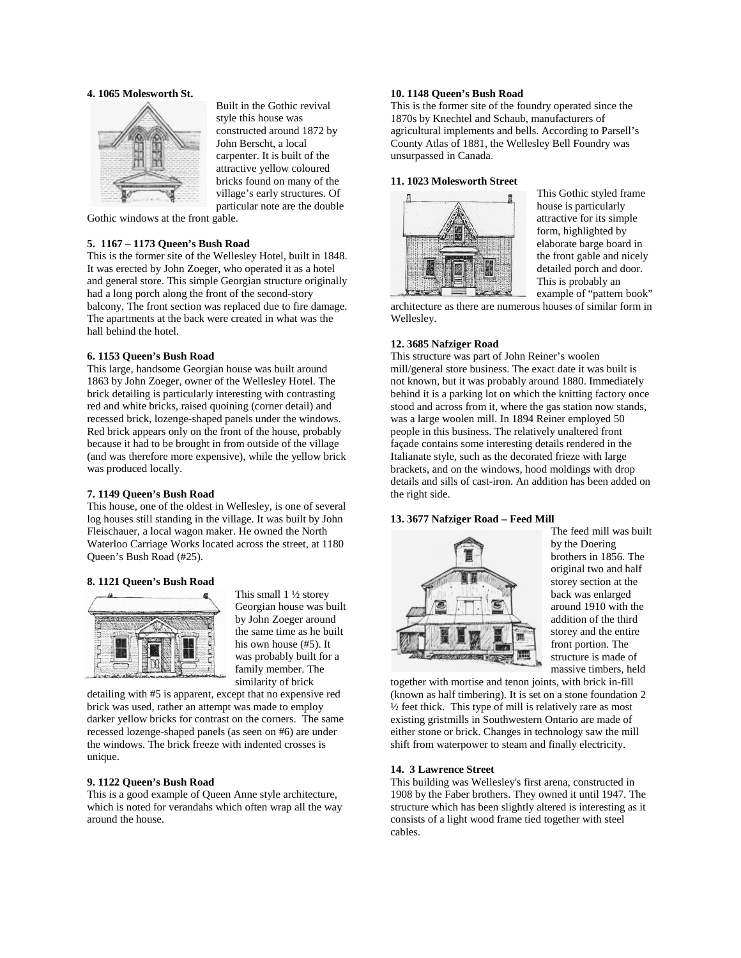# **4. 1065 Molesworth St.**



Built in the Gothic revival style this house was constructed around 1872 by John Berscht, a local carpenter. It is built of the attractive yellow coloured bricks found on many of the village's early structures. Of particular note are the double

Gothic windows at the front gable.

# **5. 1167 – 1173 Queen's Bush Road**

This is the former site of the Wellesley Hotel, built in 1848. It was erected by John Zoeger, who operated it as a hotel and general store. This simple Georgian structure originally had a long porch along the front of the second-story balcony. The front section was replaced due to fire damage. The apartments at the back were created in what was the hall behind the hotel.

#### **6. 1153 Queen's Bush Road**

This large, handsome Georgian house was built around 1863 by John Zoeger, owner of the Wellesley Hotel. The brick detailing is particularly interesting with contrasting red and white bricks, raised quoining (corner detail) and recessed brick, lozenge-shaped panels under the windows. Red brick appears only on the front of the house, probably because it had to be brought in from outside of the village (and was therefore more expensive), while the yellow brick was produced locally.

## **7. 1149 Queen's Bush Road**

This house, one of the oldest in Wellesley, is one of several log houses still standing in the village. It was built by John Fleischauer, a local wagon maker. He owned the North Waterloo Carriage Works located across the street, at 1180 Queen's Bush Road (#25).

# **8. 1121 Queen's Bush Road**



This small 1 ½ storey Georgian house was built by John Zoeger around the same time as he built his own house (#5). It was probably built for a family member. The similarity of brick

detailing with #5 is apparent, except that no expensive red brick was used, rather an attempt was made to employ darker yellow bricks for contrast on the corners. The same recessed lozenge-shaped panels (as seen on #6) are under the windows. The brick freeze with indented crosses is unique.

# **9. 1122 Queen's Bush Road**

This is a good example of Queen Anne style architecture, which is noted for verandahs which often wrap all the way around the house.

# **10. 1148 Queen's Bush Road**

This is the former site of the foundry operated since the 1870s by Knechtel and Schaub, manufacturers of agricultural implements and bells. According to Parsell's County Atlas of 1881, the Wellesley Bell Foundry was unsurpassed in Canada.

#### **11. 1023 Molesworth Street**



This Gothic styled frame house is particularly attractive for its simple form, highlighted by elaborate barge board in the front gable and nicely detailed porch and door. This is probably an example of "pattern book"

architecture as there are numerous houses of similar form in Wellesley.

#### **12. 3685 Nafziger Road**

This structure was part of John Reiner's woolen mill/general store business. The exact date it was built is not known, but it was probably around 1880. Immediately behind it is a parking lot on which the knitting factory once stood and across from it, where the gas station now stands, was a large woolen mill. In 1894 Reiner employed 50 people in this business. The relatively unaltered front façade contains some interesting details rendered in the Italianate style, such as the decorated frieze with large brackets, and on the windows, hood moldings with drop details and sills of cast-iron. An addition has been added on the right side.

# **13. 3677 Nafziger Road – Feed Mill**



The feed mill was built by the Doering brothers in 1856. The original two and half storey section at the back was enlarged around 1910 with the addition of the third storey and the entire front portion. The structure is made of massive timbers, held

together with mortise and tenon joints, with brick in-fill (known as half timbering). It is set on a stone foundation 2 ½ feet thick. This type of mill is relatively rare as most existing gristmills in Southwestern Ontario are made of either stone or brick. Changes in technology saw the mill shift from waterpower to steam and finally electricity.

# **14. 3 Lawrence Street**

This building was Wellesley's first arena, constructed in 1908 by the Faber brothers. They owned it until 1947. The structure which has been slightly altered is interesting as it consists of a light wood frame tied together with steel cables.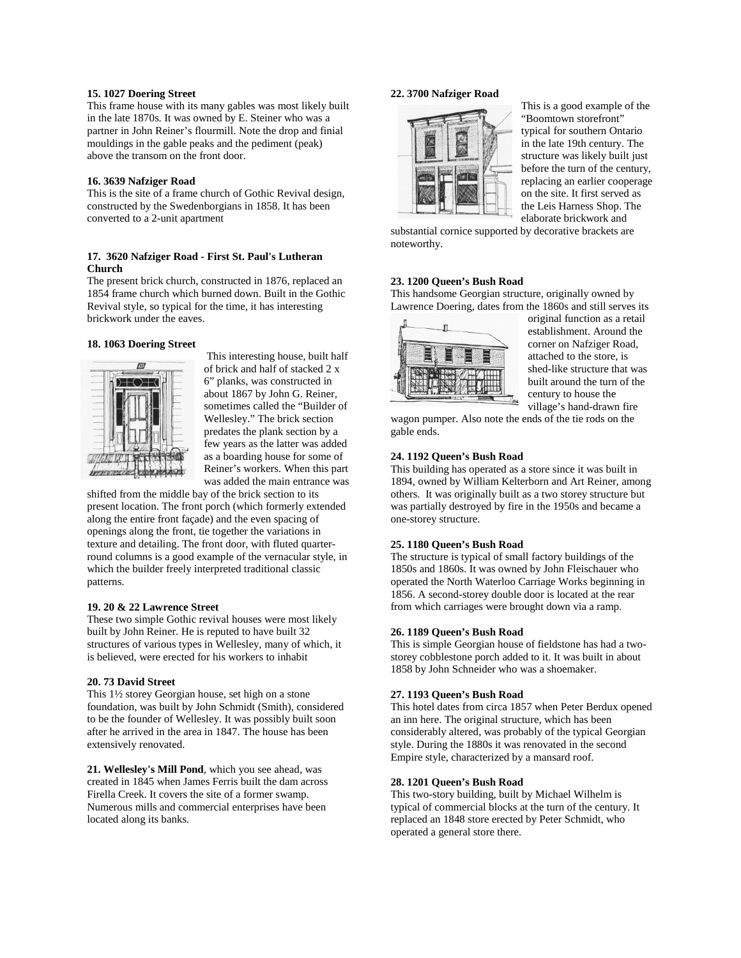# **15. 1027 Doering Street**

This frame house with its many gables was most likely built in the late 1870s. It was owned by E. Steiner who was a partner in John Reiner's flourmill. Note the drop and finial mouldings in the gable peaks and the pediment (peak) above the transom on the front door.

#### **16. 3639 Nafziger Road**

This is the site of a frame church of Gothic Revival design, constructed by the Swedenborgians in 1858. It has been converted to a 2-unit apartment

# **17. 3620 Nafziger Road - First St. Paul's Lutheran Church**

The present brick church, constructed in 1876, replaced an 1854 frame church which burned down. Built in the Gothic Revival style, so typical for the time, it has interesting brickwork under the eaves.

#### **18. 1063 Doering Street**



This interesting house, built half of brick and half of stacked 2 x 6" planks, was constructed in about 1867 by John G. Reiner, sometimes called the "Builder of Wellesley." The brick section predates the plank section by a few years as the latter was added as a boarding house for some of Reiner's workers. When this part was added the main entrance was

shifted from the middle bay of the brick section to its present location. The front porch (which formerly extended along the entire front façade) and the even spacing of openings along the front, tie together the variations in texture and detailing. The front door, with fluted quarterround columns is a good example of the vernacular style, in which the builder freely interpreted traditional classic patterns.

#### **19. 20 & 22 Lawrence Street**

These two simple Gothic revival houses were most likely built by John Reiner. He is reputed to have built 32 structures of various types in Wellesley, many of which, it is believed, were erected for his workers to inhabit

#### **20. 73 David Street**

This 1½ storey Georgian house, set high on a stone foundation, was built by John Schmidt (Smith), considered to be the founder of Wellesley. It was possibly built soon after he arrived in the area in 1847. The house has been extensively renovated.

**21. Wellesley's Mill Pond**, which you see ahead, was created in 1845 when James Ferris built the dam across Firella Creek. It covers the site of a former swamp. Numerous mills and commercial enterprises have been located along its banks.

# **22. 3700 Nafziger Road**



This is a good example of the "Boomtown storefront" typical for southern Ontario in the late 19th century. The structure was likely built just before the turn of the century, replacing an earlier cooperage on the site. It first served as the Leis Harness Shop. The elaborate brickwork and

substantial cornice supported by decorative brackets are noteworthy.

# **23. 1200 Queen's Bush Road**

This handsome Georgian structure, originally owned by Lawrence Doering, dates from the 1860s and still serves its



original function as a retail establishment. Around the corner on Nafziger Road, attached to the store, is shed-like structure that was built around the turn of the century to house the village's hand-drawn fire

wagon pumper. Also note the ends of the tie rods on the gable ends.

#### **24. 1192 Queen's Bush Road**

This building has operated as a store since it was built in 1894, owned by William Kelterborn and Art Reiner, among others. It was originally built as a two storey structure but was partially destroyed by fire in the 1950s and became a one-storey structure.

# **25. 1180 Queen's Bush Road**

The structure is typical of small factory buildings of the 1850s and 1860s. It was owned by John Fleischauer who operated the North Waterloo Carriage Works beginning in 1856. A second-storey double door is located at the rear from which carriages were brought down via a ramp.

# **26. 1189 Queen's Bush Road**

This is simple Georgian house of fieldstone has had a twostorey cobblestone porch added to it. It was built in about 1858 by John Schneider who was a shoemaker.

#### **27. 1193 Queen's Bush Road**

This hotel dates from circa 1857 when Peter Berdux opened an inn here. The original structure, which has been considerably altered, was probably of the typical Georgian style. During the 1880s it was renovated in the second Empire style, characterized by a mansard roof.

#### **28. 1201 Queen's Bush Road**

This two-story building, built by Michael Wilhelm is typical of commercial blocks at the turn of the century. It replaced an 1848 store erected by Peter Schmidt, who operated a general store there.